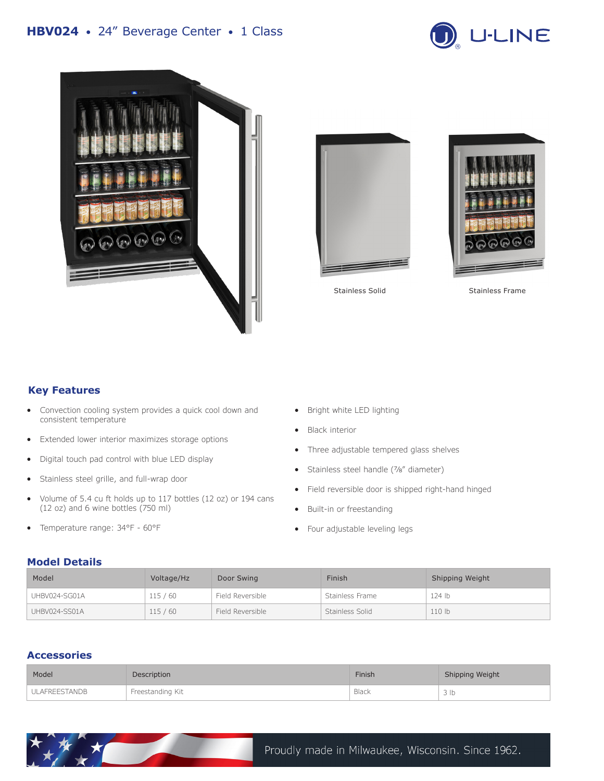







Stainless Solid

Stainless Frame

## **Key Features**

- Convection cooling system provides a quick cool down and consistent temperature
- Extended lower interior maximizes storage options
- Digital touch pad control with blue LED display
- Stainless steel grille, and full-wrap door
- Volume of 5.4 cu ft holds up to 117 bottles (12 oz) or 194 cans (12 oz) and 6 wine bottles (750 ml)
- Temperature range: 34°F 60°F
- Bright white LED lighting
- **Black interior**
- Three adjustable tempered glass shelves
- Stainless steel handle (7/8" diameter)
- Field reversible door is shipped right-hand hinged
- Built-in or freestanding
- Four adjustable leveling legs

#### **Model Details**

| Model         | Voltage/Hz | Door Swing       | Finish          | Shipping Weight |
|---------------|------------|------------------|-----------------|-----------------|
| UHBV024-SG01A | 115/60     | Field Reversible | Stainless Frame | 124 lb          |
| UHBV024-SS01A | 115 / 60   | Field Reversible | Stainless Solid | 110 lb          |

### **Accessories**

| Model                | Description      | Finish | Shipping Weight |
|----------------------|------------------|--------|-----------------|
| <b>ULAFREESTANDB</b> | Freestanding Kit | Black  | 3 <sub>lb</sub> |